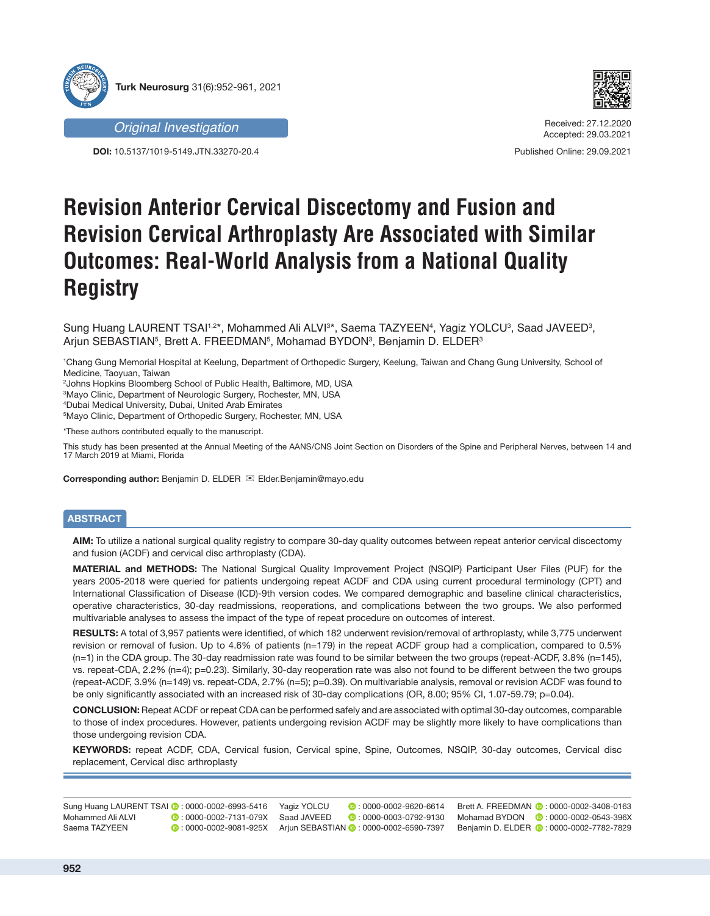

**DOI:** 10.5137/1019-5149.JTN.33270-20.4



Received: 27.12.2020 Accepted: 29.03.2021

Published Online: 29.09.2021

# **Revision Anterior Cervical Discectomy and Fusion and Revision Cervical Arthroplasty Are Associated with Similar Outcomes: Real-World Analysis from a National Quality Registry**

Sung Huang LAURENT TSAI1.2\*, Mohammed Ali ALVI3\*, Saema TAZYEEN4, Yagiz YOLCU3, Saad JAVEED3, Arjun SEBASTIAN<sup>5</sup>, Brett A. FREEDMAN<sup>5</sup>, Mohamad BYDON<sup>3</sup>, Benjamin D. ELDER<sup>3</sup>

1 Chang Gung Memorial Hospital at Keelung, Department of Orthopedic Surgery, Keelung, Taiwan and Chang Gung University, School of Medicine, Taoyuan, Taiwan

2 Johns Hopkins Bloomberg School of Public Health, Baltimore, MD, USA

3 Mayo Clinic, Department of Neurologic Surgery, Rochester, MN, USA

4 Dubai Medical University, Dubai, United Arab Emirates

5 Mayo Clinic, Department of Orthopedic Surgery, Rochester, MN, USA

\*These authors contributed equally to the manuscript.

This study has been presented at the Annual Meeting of the AANS/CNS Joint Section on Disorders of the Spine and Peripheral Nerves, between 14 and 17 March 2019 at Miami, Florida

**Corresponding author:** Benjamin D. ELDER **<sub>■</sub>** Elder.Benjamin@mayo.edu

# **ABSTRACT**

**AIM:** To utilize a national surgical quality registry to compare 30-day quality outcomes between repeat anterior cervical discectomy and fusion (ACDF) and cervical disc arthroplasty (CDA).

**MATERIAL and METHODS:** The National Surgical Quality Improvement Project (NSQIP) Participant User Files (PUF) for the years 2005-2018 were queried for patients undergoing repeat ACDF and CDA using current procedural terminology (CPT) and International Classification of Disease (ICD)-9th version codes. We compared demographic and baseline clinical characteristics, operative characteristics, 30-day readmissions, reoperations, and complications between the two groups. We also performed multivariable analyses to assess the impact of the type of repeat procedure on outcomes of interest.

**RESULTS:** A total of 3,957 patients were identified, of which 182 underwent revision/removal of arthroplasty, while 3,775 underwent revision or removal of fusion. Up to 4.6% of patients (n=179) in the repeat ACDF group had a complication, compared to 0.5% (n=1) in the CDA group. The 30-day readmission rate was found to be similar between the two groups (repeat-ACDF, 3.8% (n=145), vs. repeat-CDA, 2.2% (n=4); p=0.23). Similarly, 30-day reoperation rate was also not found to be different between the two groups (repeat-ACDF, 3.9% (n=149) vs. repeat-CDA, 2.7% (n=5); p=0.39). On multivariable analysis, removal or revision ACDF was found to be only significantly associated with an increased risk of 30-day complications (OR, 8.00; 95% CI, 1.07-59.79; p=0.04).

**CONCLUSION:** Repeat ACDF or repeat CDA can be performed safely and are associated with optimal 30-day outcomes, comparable to those of index procedures. However, patients undergoing revision ACDF may be slightly more likely to have complications than those undergoing revision CDA.

**KEYWORDS:** repeat ACDF, CDA, Cervical fusion, Cervical spine, Spine, Outcomes, NSQIP, 30-day outcomes, Cervical disc replacement, Cervical disc arthroplasty

| Sung Huang LAURENT TSAI 2: 0000-0002-6993-5416 |                                            | Yagiz YOLCU | $\bullet$ : 0000-0002-9620-6614                                 | Brett A. FRE |
|------------------------------------------------|--------------------------------------------|-------------|-----------------------------------------------------------------|--------------|
| Mohammed Ali ALVI                              | <b>D</b> : 0000-0002-7131-079X Saad JAVEED |             | $\bullet$ : 0000-0003-0792-9130                                 | Mohamad B    |
| Saema TAZYEEN                                  |                                            |             | 0 : 0000-0002-9081-925X Ariun SEBASTIAN 0 : 0000-0002-6590-7397 | Beniamin D.  |
|                                                |                                            |             |                                                                 |              |

EBDMAN **0**:0000-0002-3408-0163 YDON **0**:0000-0002-0543-396X

ELDER **0**:0000-0002-7782-7829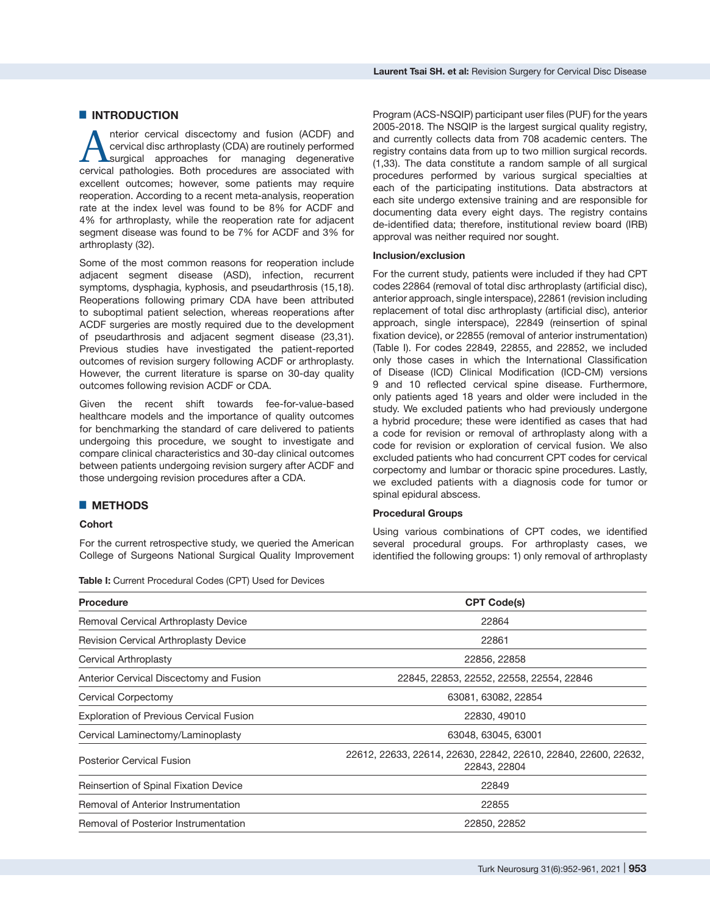merior cervical discectomy and fusion (ACDF) and<br>surgical disc arthroplasty (CDA) are routinely performed<br>surgical approaches for managing degenerative<br>centical pathologies. Both procedures are associated with cervical disc arthroplasty (CDA) are routinely performed surgical approaches for managing degenerative cervical pathologies. Both procedures are associated with excellent outcomes; however, some patients may require reoperation. According to a recent meta-analysis, reoperation rate at the index level was found to be 8% for ACDF and 4% for arthroplasty, while the reoperation rate for adjacent segment disease was found to be 7% for ACDF and 3% for arthroplasty (32).

Some of the most common reasons for reoperation include adjacent segment disease (ASD), infection, recurrent symptoms, dysphagia, kyphosis, and pseudarthrosis ([15,18](https://paperpile.com/c/5uNCRt/SK04j+aGLth)). Reoperations following primary CDA have been attributed to suboptimal patient selection, whereas reoperations after ACDF surgeries are mostly required due to the development of pseudarthrosis and adjacent segment disease ([23,31](https://paperpile.com/c/5uNCRt/ydaci+XJFuJ)). Previous studies have investigated the patient-reported outcomes of revision surgery following ACDF or arthroplasty. However, the current literature is sparse on 30-day quality outcomes following revision ACDF or CDA.

Given the recent shift towards fee-for-value-based healthcare models and the importance of quality outcomes for benchmarking the standard of care delivered to patients undergoing this procedure, we sought to investigate and compare clinical characteristics and 30-day clinical outcomes between patients undergoing revision surgery after ACDF and those undergoing revision procedures after a CDA.

# █ **METHODS**

## **Cohort**

For the current retrospective study, we queried the American College of Surgeons National Surgical Quality Improvement

**Table I:** Current Procedural Codes (CPT) Used for Devices

Program (ACS-NSQIP) participant user files (PUF) for the years 2005-2018. The NSQIP is the largest surgical quality registry, and currently collects data from 708 academic centers. The registry contains data from up to two million surgical records. ([1,3](https://paperpile.com/c/5uNCRt/ANEao+rLd68+P8ZpT)3). The data constitute a random sample of all surgical procedures performed by various surgical specialties at each of the participating institutions. Data abstractors at each site undergo extensive training and are responsible for documenting data every eight days. The registry contains de-identified data; therefore, institutional review board (IRB) approval was neither required nor sought.

### **Inclusion/exclusion**

For the current study, patients were included if they had CPT codes 22864 (removal of total disc arthroplasty (artificial disc), anterior approach, single interspace), 22861 (revision including replacement of total disc arthroplasty (artificial disc), anterior approach, single interspace), 22849 (reinsertion of spinal fixation device), or 22855 (removal of anterior instrumentation) (Table I). For codes 22849, 22855, and 22852, we included only those cases in which the International Classification of Disease (ICD) Clinical Modification (ICD-CM) versions 9 and 10 reflected cervical spine disease. Furthermore, only patients aged 18 years and older were included in the study. We excluded patients who had previously undergone a hybrid procedure; these were identified as cases that had a code for revision or removal of arthroplasty along with a code for revision or exploration of cervical fusion. We also excluded patients who had concurrent CPT codes for cervical corpectomy and lumbar or thoracic spine procedures. Lastly, we excluded patients with a diagnosis code for tumor or spinal epidural abscess.

## **Procedural Groups**

Using various combinations of CPT codes, we identified several procedural groups. For arthroplasty cases, we identified the following groups: 1) only removal of arthroplasty

| <b>Procedure</b>                               | <b>CPT Code(s)</b>                                                             |
|------------------------------------------------|--------------------------------------------------------------------------------|
| Removal Cervical Arthroplasty Device           | 22864                                                                          |
| <b>Revision Cervical Arthroplasty Device</b>   | 22861                                                                          |
| Cervical Arthroplasty                          | 22856, 22858                                                                   |
| Anterior Cervical Discectomy and Fusion        | 22845, 22853, 22552, 22558, 22554, 22846                                       |
| Cervical Corpectomy                            | 63081, 63082, 22854                                                            |
| <b>Exploration of Previous Cervical Fusion</b> | 22830, 49010                                                                   |
| Cervical Laminectomy/Laminoplasty              | 63048, 63045, 63001                                                            |
| <b>Posterior Cervical Fusion</b>               | 22612, 22633, 22614, 22630, 22842, 22610, 22840, 22600, 22632,<br>22843, 22804 |
| <b>Reinsertion of Spinal Fixation Device</b>   | 22849                                                                          |
| Removal of Anterior Instrumentation            | 22855                                                                          |
| Removal of Posterior Instrumentation           | 22850, 22852                                                                   |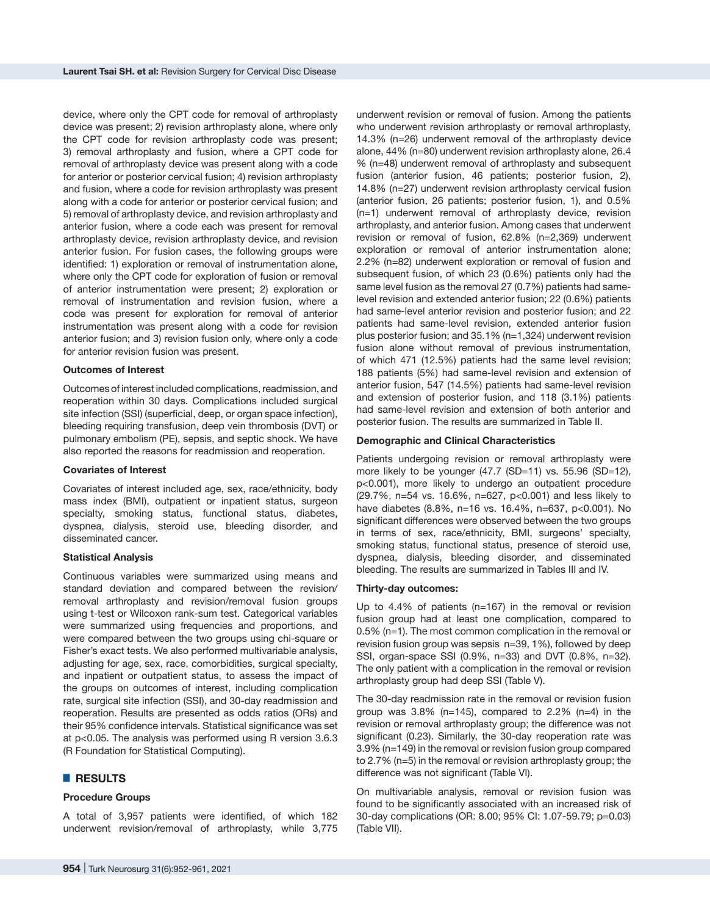device, where only the CPT code for removal of arthroplasty device was present; 2) revision arthroplasty alone, where only the CPT code for revision arthroplasty code was present; 3) removal arthroplasty and fusion, where a CPT code for removal of arthroplasty device was present along with a code for anterior or posterior cervical fusion; 4) revision arthroplasty and fusion, where a code for revision arthroplasty was present along with a code for anterior or posterior cervical fusion; and 5) removal of arthroplasty device, and revision arthroplasty and anterior fusion, where a code each was present for removal arthroplasty device, revision arthroplasty device, and revision anterior fusion. For fusion cases, the following groups were identified: 1) exploration or removal of instrumentation alone, where only the CPT code for exploration of fusion or removal of anterior instrumentation were present; 2) exploration or removal of instrumentation and revision fusion, where a code was present for exploration for removal of anterior instrumentation was present along with a code for revision anterior fusion; and 3) revision fusion only, where only a code for anterior revision fusion was present.

#### **Outcomes of Interest**

Outcomes of interest included complications, readmission, and reoperation within 30 days. Complications included surgical site infection (SSI) (superficial, deep, or organ space infection), bleeding requiring transfusion, deep vein thrombosis (DVT) or pulmonary embolism (PE), sepsis, and septic shock. We have also reported the reasons for readmission and reoperation.

#### **Covariates of Interest**

Covariates of interest included age, sex, race/ethnicity, body mass index (BMI), outpatient or inpatient status, surgeon specialty, smoking status, functional status, diabetes, dyspnea, dialysis, steroid use, bleeding disorder, and disseminated cancer.

#### **Statistical Analysis**

Continuous variables were summarized using means and standard deviation and compared between the revision/ removal arthroplasty and revision/removal fusion groups using t-test or Wilcoxon rank-sum test. Categorical variables were summarized using frequencies and proportions, and were compared between the two groups using chi-square or Fisher's exact tests. We also performed multivariable analysis, adjusting for age, sex, race, comorbidities, surgical specialty, and inpatient or outpatient status, to assess the impact of the groups on outcomes of interest, including complication rate, surgical site infection (SSI), and 30-day readmission and reoperation. Results are presented as odds ratios (ORs) and their 95% confidence intervals. Statistical significance was set at p<0.05. The analysis was performed using R version 3.6.3 (R Foundation for Statistical Computing).

### █ **RESULTS**

#### **Procedure Groups**

A total of 3,957 patients were identified, of which 182 underwent revision/removal of arthroplasty, while 3,775 underwent revision or removal of fusion. Among the patients who underwent revision arthroplasty or removal arthroplasty, 14.3% (n=26) underwent removal of the arthroplasty device alone, 44% (n=80) underwent revision arthroplasty alone, 26.4 % (n=48) underwent removal of arthroplasty and subsequent fusion (anterior fusion, 46 patients; posterior fusion, 2), 14.8% (n=27) underwent revision arthroplasty cervical fusion (anterior fusion, 26 patients; posterior fusion, 1), and 0.5% (n=1) underwent removal of arthroplasty device, revision arthroplasty, and anterior fusion. Among cases that underwent revision or removal of fusion, 62.8% (n=2,369) underwent exploration or removal of anterior instrumentation alone; 2.2% (n=82) underwent exploration or removal of fusion and subsequent fusion, of which 23 (0.6%) patients only had the same level fusion as the removal 27 (0.7%) patients had samelevel revision and extended anterior fusion; 22 (0.6%) patients had same-level anterior revision and posterior fusion; and 22 patients had same-level revision, extended anterior fusion plus posterior fusion; and 35.1% (n=1,324) underwent revision fusion alone without removal of previous instrumentation, of which 471 (12.5%) patients had the same level revision; 188 patients (5%) had same-level revision and extension of anterior fusion, 547 (14.5%) patients had same-level revision and extension of posterior fusion, and 118 (3.1%) patients had same-level revision and extension of both anterior and posterior fusion. The results are summarized in Table II.

#### **Demographic and Clinical Characteristics**

Patients undergoing revision or removal arthroplasty were more likely to be younger (47.7 (SD=11) vs. 55.96 (SD=12), p<0.001), more likely to undergo an outpatient procedure (29.7%, n=54 vs. 16.6%, n=627, p<0.001) and less likely to have diabetes (8.8%, n=16 vs. 16.4%, n=637, p<0.001). No significant differences were observed between the two groups in terms of sex, race/ethnicity, BMI, surgeons' specialty, smoking status, functional status, presence of steroid use, dyspnea, dialysis, bleeding disorder, and disseminated bleeding. The results are summarized in Tables III and IV.

#### **Thirty-day outcomes:**

Up to 4.4% of patients (n=167) in the removal or revision fusion group had at least one complication, compared to 0.5% (n=1). The most common complication in the removal or revision fusion group was sepsis n=39, 1%), followed by deep SSI, organ-space SSI (0.9%, n=33) and DVT (0.8%, n=32). The only patient with a complication in the removal or revision arthroplasty group had deep SSI (Table V).

The 30-day readmission rate in the removal or revision fusion group was  $3.8\%$  (n=145), compared to  $2.2\%$  (n=4) in the revision or removal arthroplasty group; the difference was not significant (0.23). Similarly, the 30-day reoperation rate was 3.9% (n=149) in the removal or revision fusion group compared to 2.7% (n=5) in the removal or revision arthroplasty group; the difference was not significant (Table VI).

On multivariable analysis, removal or revision fusion was found to be significantly associated with an increased risk of 30-day complications (OR: 8.00; 95% CI: 1.07-59.79; p=0.03) (Table VII).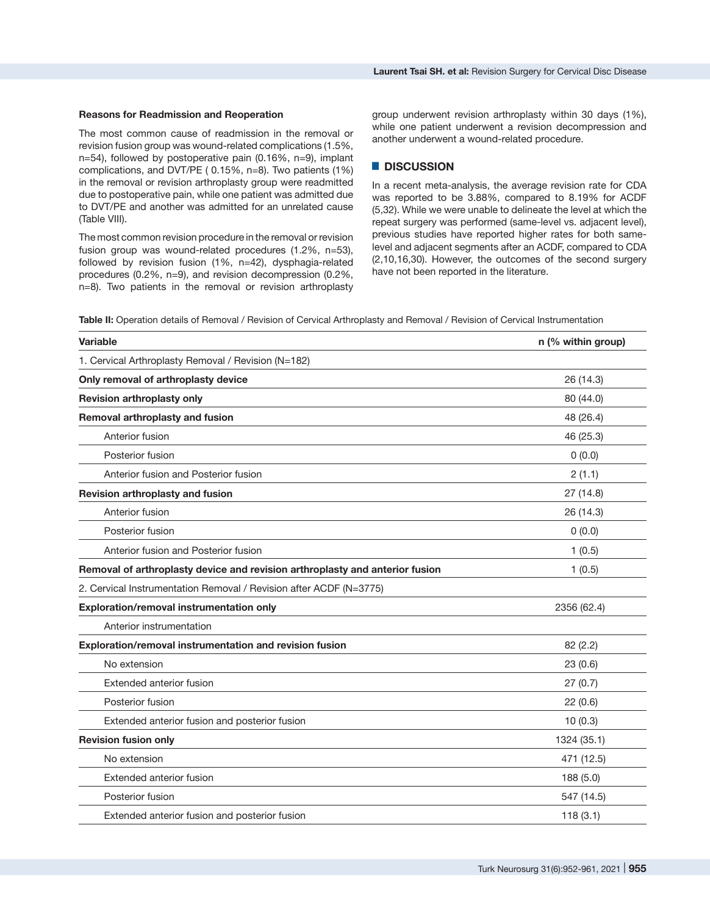#### **Reasons for Readmission and Reoperation**

The most common cause of readmission in the removal or revision fusion group was wound-related complications (1.5%, n=54), followed by postoperative pain (0.16%, n=9), implant complications, and DVT/PE ( 0.15%, n=8). Two patients (1%) in the removal or revision arthroplasty group were readmitted due to postoperative pain, while one patient was admitted due to DVT/PE and another was admitted for an unrelated cause (Table VIII).

The most common revision procedure in the removal or revision fusion group was wound-related procedures (1.2%, n=53), followed by revision fusion (1%, n=42), dysphagia-related procedures (0.2%, n=9), and revision decompression (0.2%, n=8). Two patients in the removal or revision arthroplasty

group underwent revision arthroplasty within 30 days (1%), while one patient underwent a revision decompression and another underwent a wound-related procedure.

# █ **DISCUSSION**

In a recent meta-analysis, the average revision rate for CDA was reported to be 3.88%, compared to 8.19% for ACDF [\(5](https://paperpile.com/c/5uNCRt/9pCCG),3[2\)](https://paperpile.com/c/5uNCRt/XD8ye). While we were unable to delineate the level at which the repeat surgery was performed (same-level vs. adjacent level), previous studies have reported higher rates for both samelevel and adjacent segments after an ACDF, compared to CDA (2,10,16,30). However, the outcomes of the second surgery have not been reported in the literature.

**Table II:** Operation details of Removal / Revision of Cervical Arthroplasty and Removal / Revision of Cervical Instrumentation

| <b>Variable</b>                                                              | n (% within group) |
|------------------------------------------------------------------------------|--------------------|
| 1. Cervical Arthroplasty Removal / Revision (N=182)                          |                    |
| Only removal of arthroplasty device                                          | 26 (14.3)          |
| Revision arthroplasty only                                                   | 80 (44.0)          |
| Removal arthroplasty and fusion                                              | 48 (26.4)          |
| Anterior fusion                                                              | 46 (25.3)          |
| Posterior fusion                                                             | 0(0.0)             |
| Anterior fusion and Posterior fusion                                         | 2(1.1)             |
| Revision arthroplasty and fusion                                             | 27 (14.8)          |
| Anterior fusion                                                              | 26 (14.3)          |
| Posterior fusion                                                             | 0(0.0)             |
| Anterior fusion and Posterior fusion                                         | 1(0.5)             |
| Removal of arthroplasty device and revision arthroplasty and anterior fusion | 1(0.5)             |
| 2. Cervical Instrumentation Removal / Revision after ACDF (N=3775)           |                    |
| Exploration/removal instrumentation only                                     | 2356 (62.4)        |
| Anterior instrumentation                                                     |                    |
| Exploration/removal instrumentation and revision fusion                      | 82(2.2)            |
| No extension                                                                 | 23(0.6)            |
| Extended anterior fusion                                                     | 27(0.7)            |
| Posterior fusion                                                             | 22(0.6)            |
| Extended anterior fusion and posterior fusion                                | 10(0.3)            |
| <b>Revision fusion only</b>                                                  | 1324 (35.1)        |
| No extension                                                                 | 471 (12.5)         |
| <b>Extended anterior fusion</b>                                              | 188 (5.0)          |
| Posterior fusion                                                             | 547 (14.5)         |
| Extended anterior fusion and posterior fusion                                | 118(3.1)           |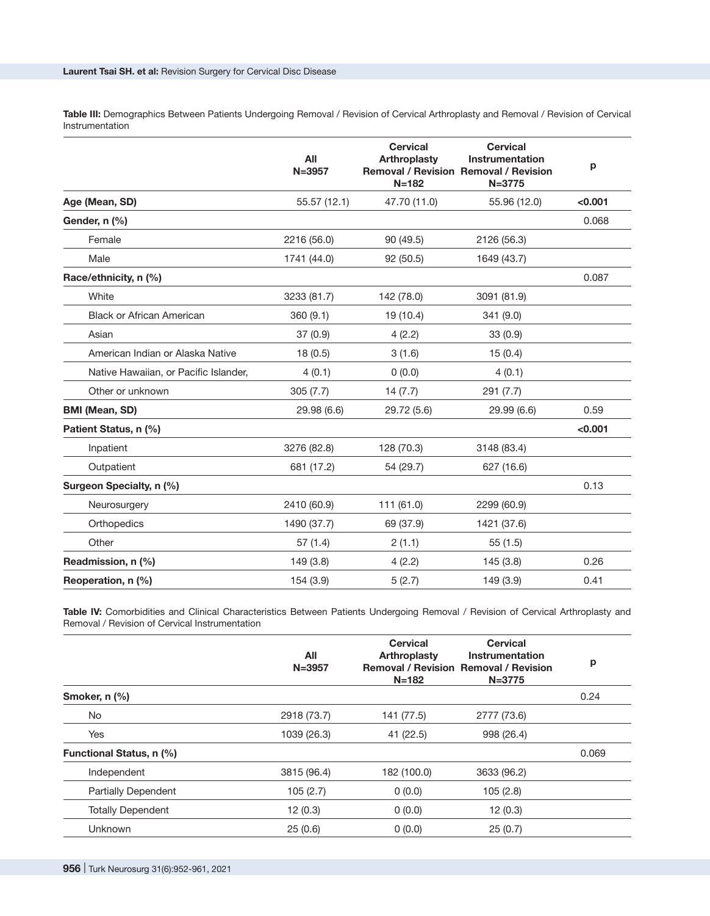**Table III:** Demographics Between Patients Undergoing Removal / Revision of Cervical Arthroplasty and Removal / Revision of Cervical **Instrumentation** 

|                                       | All<br>$N = 3957$ | <b>Cervical</b><br><b>Arthroplasty</b><br>$N = 182$ | <b>Cervical</b><br><b>Instrumentation</b><br><b>Removal / Revision Removal / Revision</b><br>$N = 3775$ | p       |
|---------------------------------------|-------------------|-----------------------------------------------------|---------------------------------------------------------------------------------------------------------|---------|
| Age (Mean, SD)                        | 55.57 (12.1)      | 47.70 (11.0)                                        | 55.96 (12.0)                                                                                            | < 0.001 |
| Gender, n (%)                         |                   |                                                     |                                                                                                         | 0.068   |
| Female                                | 2216 (56.0)       | 90 (49.5)                                           | 2126 (56.3)                                                                                             |         |
| Male                                  | 1741 (44.0)       | 92 (50.5)                                           | 1649 (43.7)                                                                                             |         |
| Race/ethnicity, n (%)                 |                   |                                                     |                                                                                                         | 0.087   |
| White                                 | 3233 (81.7)       | 142 (78.0)                                          | 3091 (81.9)                                                                                             |         |
| <b>Black or African American</b>      | 360 (9.1)         | 19 (10.4)                                           | 341 (9.0)                                                                                               |         |
| Asian                                 | 37(0.9)           | 4(2.2)                                              | 33(0.9)                                                                                                 |         |
| American Indian or Alaska Native      | 18(0.5)           | 3(1.6)                                              | 15(0.4)                                                                                                 |         |
| Native Hawaiian, or Pacific Islander, | 4(0.1)            | 0(0.0)                                              | 4(0.1)                                                                                                  |         |
| Other or unknown                      | 305(7.7)          | 14(7.7)                                             | 291 (7.7)                                                                                               |         |
| <b>BMI (Mean, SD)</b>                 | 29.98 (6.6)       | 29.72 (5.6)                                         | 29.99 (6.6)                                                                                             | 0.59    |
| Patient Status, n (%)                 |                   |                                                     |                                                                                                         | < 0.001 |
| Inpatient                             | 3276 (82.8)       | 128 (70.3)                                          | 3148 (83.4)                                                                                             |         |
| Outpatient                            | 681 (17.2)        | 54 (29.7)                                           | 627 (16.6)                                                                                              |         |
| Surgeon Specialty, n (%)              |                   |                                                     |                                                                                                         | 0.13    |
| Neurosurgery                          | 2410 (60.9)       | 111 (61.0)                                          | 2299 (60.9)                                                                                             |         |
| Orthopedics                           | 1490 (37.7)       | 69 (37.9)                                           | 1421 (37.6)                                                                                             |         |
| Other                                 | 57(1.4)           | 2(1.1)                                              | 55(1.5)                                                                                                 |         |
| Readmission, n (%)                    | 149 (3.8)         | 4(2.2)                                              | 145 (3.8)                                                                                               | 0.26    |
| Reoperation, n (%)                    | 154 (3.9)         | 5(2.7)                                              | 149 (3.9)                                                                                               | 0.41    |

Table IV: Comorbidities and Clinical Characteristics Between Patients Undergoing Removal / Revision of Cervical Arthroplasty and Removal / Revision of Cervical Instrumentation

|                            | All<br>$N = 3957$ | <b>Cervical</b><br>Arthroplasty<br>$N = 182$ | <b>Cervical</b><br>Instrumentation<br><b>Removal / Revision Removal / Revision</b><br>$N = 3775$ | р     |
|----------------------------|-------------------|----------------------------------------------|--------------------------------------------------------------------------------------------------|-------|
| Smoker, n (%)              |                   |                                              |                                                                                                  | 0.24  |
| No.                        | 2918 (73.7)       | 141 (77.5)                                   | 2777 (73.6)                                                                                      |       |
| <b>Yes</b>                 | 1039 (26.3)       | 41 (22.5)                                    | 998 (26.4)                                                                                       |       |
| Functional Status, n (%)   |                   |                                              |                                                                                                  | 0.069 |
| Independent                | 3815 (96.4)       | 182 (100.0)                                  | 3633 (96.2)                                                                                      |       |
| <b>Partially Dependent</b> | 105(2.7)          | 0(0.0)                                       | 105(2.8)                                                                                         |       |
| <b>Totally Dependent</b>   | 12(0.3)           | 0(0.0)                                       | 12(0.3)                                                                                          |       |
| Unknown                    | 25(0.6)           | 0(0.0)                                       | 25(0.7)                                                                                          |       |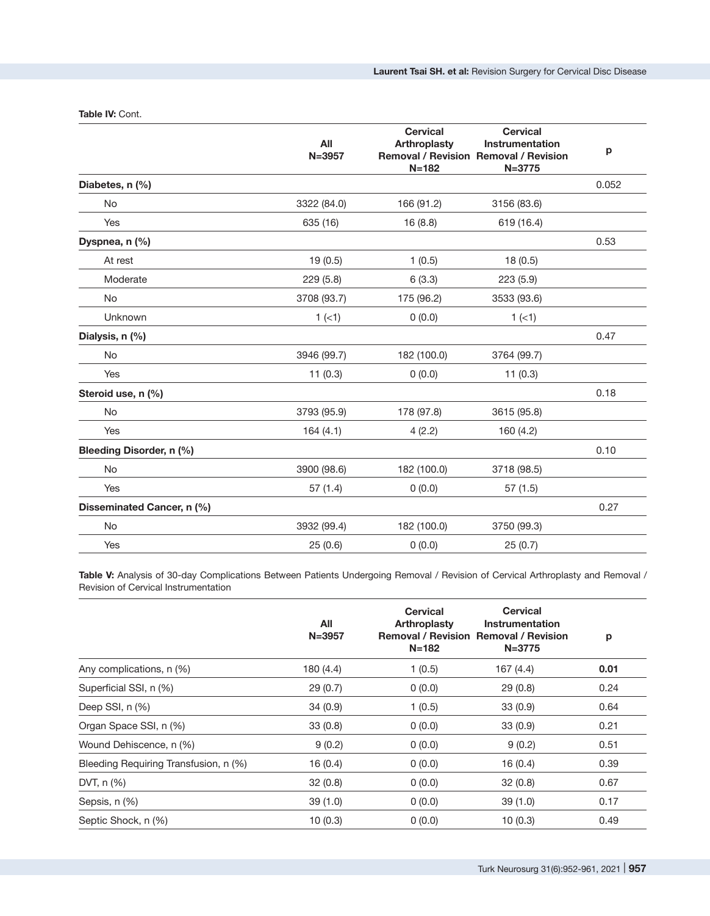|                            | All<br>$N = 3957$ | <b>Cervical</b><br><b>Arthroplasty</b><br>$N = 182$ | <b>Cervical</b><br><b>Instrumentation</b><br><b>Removal / Revision Removal / Revision</b><br>$N = 3775$ | р     |
|----------------------------|-------------------|-----------------------------------------------------|---------------------------------------------------------------------------------------------------------|-------|
| Diabetes, n (%)            |                   |                                                     |                                                                                                         | 0.052 |
| No                         | 3322 (84.0)       | 166 (91.2)                                          | 3156 (83.6)                                                                                             |       |
| Yes                        | 635 (16)          | 16 (8.8)                                            | 619 (16.4)                                                                                              |       |
| Dyspnea, n (%)             |                   |                                                     |                                                                                                         | 0.53  |
| At rest                    | 19(0.5)           | 1(0.5)                                              | 18(0.5)                                                                                                 |       |
| Moderate                   | 229 (5.8)         | 6(3.3)                                              | 223 (5.9)                                                                                               |       |
| <b>No</b>                  | 3708 (93.7)       | 175 (96.2)                                          | 3533 (93.6)                                                                                             |       |
| Unknown                    | $1 (-1)$          | 0(0.0)                                              | $1 (-1)$                                                                                                |       |
| Dialysis, n (%)            |                   |                                                     |                                                                                                         | 0.47  |
| No                         | 3946 (99.7)       | 182 (100.0)                                         | 3764 (99.7)                                                                                             |       |
| Yes                        | 11(0.3)           | 0(0.0)                                              | 11(0.3)                                                                                                 |       |
| Steroid use, n (%)         |                   |                                                     |                                                                                                         | 0.18  |
| No                         | 3793 (95.9)       | 178 (97.8)                                          | 3615 (95.8)                                                                                             |       |
| Yes                        | 164(4.1)          | 4(2.2)                                              | 160 (4.2)                                                                                               |       |
| Bleeding Disorder, n (%)   |                   |                                                     |                                                                                                         | 0.10  |
| <b>No</b>                  | 3900 (98.6)       | 182 (100.0)                                         | 3718 (98.5)                                                                                             |       |
| Yes                        | 57(1.4)           | 0(0.0)                                              | 57(1.5)                                                                                                 |       |
| Disseminated Cancer, n (%) |                   |                                                     |                                                                                                         | 0.27  |
| <b>No</b>                  | 3932 (99.4)       | 182 (100.0)                                         | 3750 (99.3)                                                                                             |       |
| Yes                        | 25(0.6)           | 0(0.0)                                              | 25(0.7)                                                                                                 |       |
|                            |                   |                                                     |                                                                                                         |       |

#### **Table IV:** Cont.

**Table V:** Analysis of 30-day Complications Between Patients Undergoing Removal / Revision of Cervical Arthroplasty and Removal / Revision of Cervical Instrumentation

|                                       | All<br>$N = 3957$ | <b>Cervical</b><br>Arthroplasty<br>$N = 182$ | <b>Cervical</b><br>Instrumentation<br><b>Removal / Revision Removal / Revision</b><br>$N = 3775$ | p    |
|---------------------------------------|-------------------|----------------------------------------------|--------------------------------------------------------------------------------------------------|------|
| Any complications, n (%)              | 180 (4.4)         | 1(0.5)                                       | 167 (4.4)                                                                                        | 0.01 |
| Superficial SSI, n (%)                | 29(0.7)           | 0(0.0)                                       | 29(0.8)                                                                                          | 0.24 |
| Deep SSI, n (%)                       | 34(0.9)           | 1(0.5)                                       | 33(0.9)                                                                                          | 0.64 |
| Organ Space SSI, n (%)                | 33(0.8)           | 0(0.0)                                       | 33(0.9)                                                                                          | 0.21 |
| Wound Dehiscence, n (%)               | 9(0.2)            | 0(0.0)                                       | 9(0.2)                                                                                           | 0.51 |
| Bleeding Requiring Transfusion, n (%) | 16(0.4)           | 0(0.0)                                       | 16(0.4)                                                                                          | 0.39 |
| DVT, n (%)                            | 32(0.8)           | 0(0.0)                                       | 32(0.8)                                                                                          | 0.67 |
| Sepsis, n (%)                         | 39(1.0)           | 0(0.0)                                       | 39(1.0)                                                                                          | 0.17 |
| Septic Shock, n (%)                   | 10(0.3)           | 0(0.0)                                       | 10(0.3)                                                                                          | 0.49 |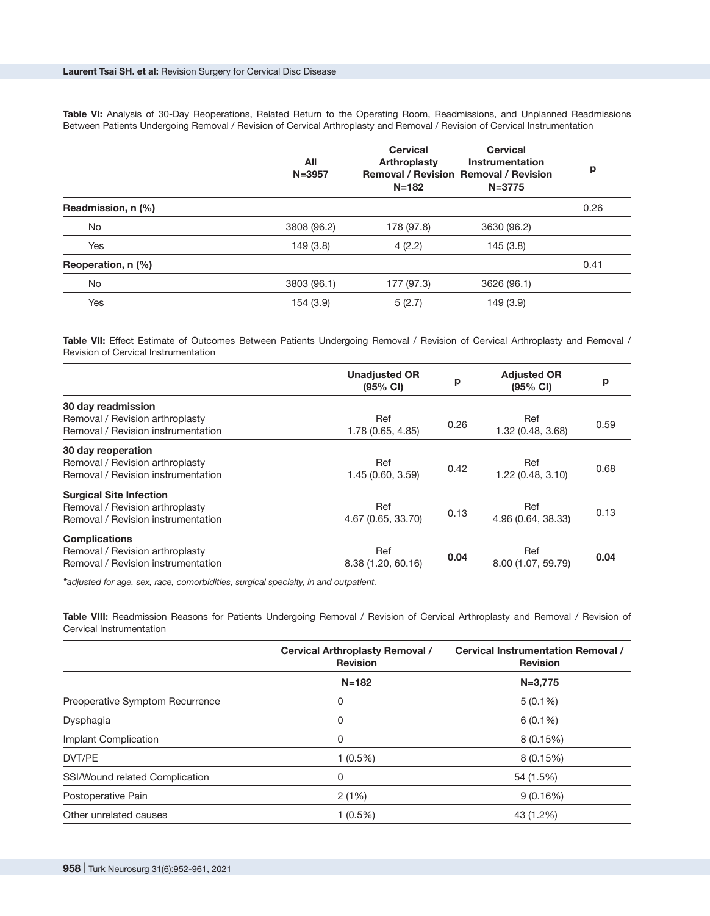**Table VI:** Analysis of 30-Day Reoperations, Related Return to the Operating Room, Readmissions, and Unplanned Readmissions Between Patients Undergoing Removal / Revision of Cervical Arthroplasty and Removal / Revision of Cervical Instrumentation

|                    | All<br>$N = 3957$ | <b>Cervical</b><br>Arthroplasty<br>$N = 182$ | <b>Cervical</b><br>Instrumentation<br><b>Removal / Revision Removal / Revision</b><br>$N = 3775$ | p    |
|--------------------|-------------------|----------------------------------------------|--------------------------------------------------------------------------------------------------|------|
| Readmission, n (%) |                   |                                              |                                                                                                  | 0.26 |
| No                 | 3808 (96.2)       | 178 (97.8)                                   | 3630 (96.2)                                                                                      |      |
| Yes                | 149 (3.8)         | 4(2.2)                                       | 145 (3.8)                                                                                        |      |
| Reoperation, n (%) |                   |                                              |                                                                                                  | 0.41 |
| No                 | 3803 (96.1)       | 177 (97.3)                                   | 3626 (96.1)                                                                                      |      |
| Yes                | 154 (3.9)         | 5(2.7)                                       | 149 (3.9)                                                                                        |      |

**Table VII:** Effect Estimate of Outcomes Between Patients Undergoing Removal / Revision of Cervical Arthroplasty and Removal / Revision of Cervical Instrumentation

|                                    | <b>Unadjusted OR</b><br>$(95% \text{ Cl})$ | p    | <b>Adjusted OR</b><br>$(95% \text{ Cl})$ | p    |
|------------------------------------|--------------------------------------------|------|------------------------------------------|------|
| 30 day readmission                 |                                            |      |                                          |      |
| Removal / Revision arthroplasty    | Ref                                        |      | Ref                                      |      |
| Removal / Revision instrumentation | 1.78 (0.65, 4.85)                          | 0.26 | 1.32 (0.48, 3.68)                        | 0.59 |
| 30 day reoperation                 |                                            |      |                                          |      |
| Removal / Revision arthroplasty    | Ref                                        |      | Ref                                      |      |
| Removal / Revision instrumentation | 1.45 (0.60, 3.59)                          | 0.42 | 1.22 (0.48, 3.10)                        | 0.68 |
| <b>Surgical Site Infection</b>     |                                            |      |                                          |      |
| Removal / Revision arthroplasty    | Ref                                        |      | Ref                                      | 0.13 |
| Removal / Revision instrumentation | 4.67 (0.65, 33.70)                         | 0.13 | 4.96 (0.64, 38.33)                       |      |
| <b>Complications</b>               |                                            |      |                                          |      |
| Removal / Revision arthroplasty    | Ref                                        |      | Ref                                      | 0.04 |
| Removal / Revision instrumentation | 8.38 (1.20, 60.16)                         | 0.04 | 8.00 (1.07, 59.79)                       |      |

*\*adjusted for age, sex, race, comorbidities, surgical specialty, in and outpatient.*

**Table VIII:** Readmission Reasons for Patients Undergoing Removal / Revision of Cervical Arthroplasty and Removal / Revision of Cervical Instrumentation

|                                 | <b>Cervical Arthroplasty Removal /</b><br><b>Revision</b> | <b>Cervical Instrumentation Removal /</b><br><b>Revision</b> |
|---------------------------------|-----------------------------------------------------------|--------------------------------------------------------------|
|                                 | $N = 182$                                                 | $N = 3,775$                                                  |
| Preoperative Symptom Recurrence | 0                                                         | $5(0.1\%)$                                                   |
| Dysphagia                       | 0                                                         | $6(0.1\%)$                                                   |
| Implant Complication            | 0                                                         | 8(0.15%)                                                     |
| DVT/PE                          | $1(0.5\%)$                                                | 8(0.15%)                                                     |
| SSI/Wound related Complication  | 0                                                         | 54 (1.5%)                                                    |
| Postoperative Pain              | 2(1%)                                                     | 9(0.16%)                                                     |
| Other unrelated causes          | 1 (0.5%)                                                  | 43 (1.2%)                                                    |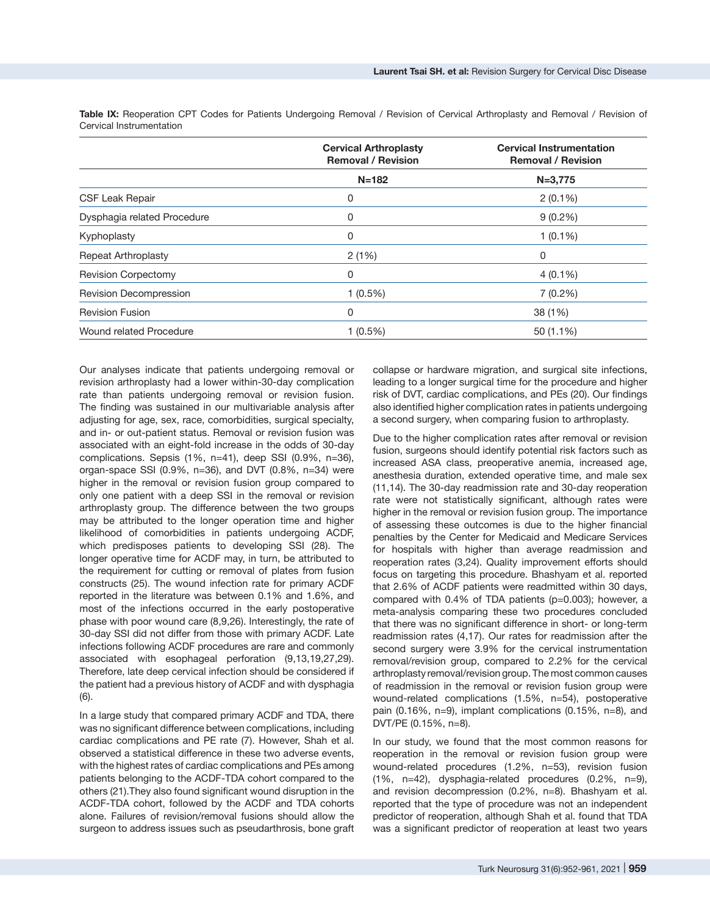|                             | <b>Cervical Arthroplasty</b><br><b>Removal / Revision</b> | <b>Cervical Instrumentation</b><br><b>Removal / Revision</b> |
|-----------------------------|-----------------------------------------------------------|--------------------------------------------------------------|
|                             | $N = 182$                                                 | $N = 3,775$                                                  |
| <b>CSF Leak Repair</b>      | 0                                                         | $2(0.1\%)$                                                   |
| Dysphagia related Procedure | 0                                                         | $9(0.2\%)$                                                   |
| Kyphoplasty                 | 0                                                         | $1(0.1\%)$                                                   |
| Repeat Arthroplasty         | 2(1%)                                                     | 0                                                            |
| <b>Revision Corpectomy</b>  | 0                                                         | $4(0.1\%)$                                                   |
| Revision Decompression      | $1(0.5\%)$                                                | $7(0.2\%)$                                                   |
| <b>Revision Fusion</b>      | 0                                                         | 38 (1%)                                                      |
| Wound related Procedure     | $1(0.5\%)$                                                | 50 (1.1%)                                                    |

Table IX: Reoperation CPT Codes for Patients Undergoing Removal / Revision of Cervical Arthroplasty and Removal / Revision of Cervical Instrumentation

Our analyses indicate that patients undergoing removal or revision arthroplasty had a lower within-30-day complication rate than patients undergoing removal or revision fusion. The finding was sustained in our multivariable analysis after adjusting for age, sex, race, comorbidities, surgical specialty, and in- or out-patient status. Removal or revision fusion was associated with an eight-fold increase in the odds of 30-day complications. Sepsis (1%, n=41), deep SSI (0.9%, n=36), organ-space SSI (0.9%, n=36), and DVT (0.8%, n=34) were higher in the removal or revision fusion group compared to only one patient with a deep SSI in the removal or revision arthroplasty group. The difference between the two groups may be attributed to the longer operation time and higher likelihood of comorbidities in patients undergoing ACDF, which predisposes patients to developing SSI ([28\)](https://paperpile.com/c/5uNCRt/dBJhf). The longer operative time for ACDF may, in turn, be attributed to the requirement for cutting or removal of plates from fusion constructs ([25\)](https://paperpile.com/c/5uNCRt/pZrbi). The wound infection rate for primary ACDF reported in the literature was between 0.1% and 1.6%, and most of the infections occurred in the early postoperative phase with poor wound care (8,9,26). Interestingly, the rate of 30-day SSI did not differ from those with primary ACDF. Late infections following ACDF procedures are rare and commonly associated with esophageal perforation (9,13,19,27,29). Therefore, late deep cervical infection should be considered if the patient had a previous history of ACDF and with dysphagia (6).

In a large study that compared primary ACDF and TDA, there was no significant difference between complications, including cardiac complications and PE rate (7). However, Shah et al. observed a statistical difference in these two adverse events, with the highest rates of cardiac complications and PEs among patients belonging to the ACDF-TDA cohort compared to the others (21).They also found significant wound disruption in the ACDF-TDA cohort, followed by the ACDF and TDA cohorts alone. Failures of revision/removal fusions should allow the surgeon to address issues such as pseudarthrosis, bone graft collapse or hardware migration, and surgical site infections, leading to a longer surgical time for the procedure and higher risk of DVT, cardiac complications, and PEs ([20\)](https://paperpile.com/c/5uNCRt/kbkRA). Our findings also identified higher complication rates in patients undergoing a second surgery, when comparing fusion to arthroplasty.

Due to the higher complication rates after removal or revision fusion, surgeons should identify potential risk factors such as increased ASA class, preoperative anemia, increased age, anesthesia duration, extended operative time, and male sex (11,14). The 30-day readmission rate and 30-day reoperation rate were not statistically significant, although rates were higher in the removal or revision fusion group. The importance of assessing these outcomes is due to the higher financial penalties by the Center for Medicaid and Medicare Services for hospitals with higher than average readmission and reoperation rates (3,24). Quality improvement efforts should focus on targeting this procedure. Bhashyam et al. reported that 2.6% of ACDF patients were readmitted within 30 days, compared with 0.4% of TDA patients (p=0.003); however, a meta-analysis comparing these two procedures concluded that there was no significant difference in short- or long-term readmission rates (4,17). Our rates for readmission after the second surgery were 3.9% for the cervical instrumentation removal/revision group, compared to 2.2% for the cervical arthroplasty removal/revision group. The most common causes of readmission in the removal or revision fusion group were wound-related complications (1.5%, n=54), postoperative pain (0.16%, n=9), implant complications (0.15%, n=8), and DVT/PE (0.15%, n=8).

In our study, we found that the most common reasons for reoperation in the removal or revision fusion group were wound-related procedures (1.2%, n=53), revision fusion (1%, n=42), dysphagia-related procedures (0.2%, n=9), and revision decompression (0.2%, n=8). Bhashyam et al. reported that the type of procedure was not an independent predictor of reoperation, although Shah et al. found that TDA was a significant predictor of reoperation at least two years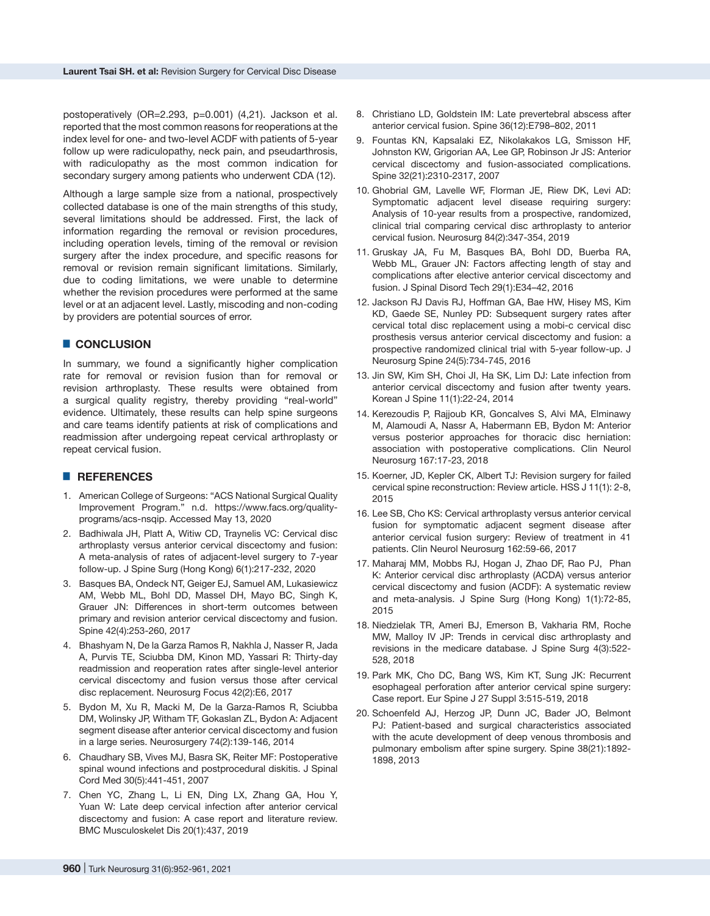postoperatively (OR=2.293, p=0.001) (4,21). Jackson et al. reported that the most common reasons for reoperations at the index level for one- and two-level ACDF with patients of 5-year follow up were radiculopathy, neck pain, and pseudarthrosis, with radiculopathy as the most common indication for secondary surgery among patients who underwent CDA ([12\)](https://paperpile.com/c/5uNCRt/PPT6w).

Although a large sample size from a national, prospectively collected database is one of the main strengths of this study, several limitations should be addressed. First, the lack of information regarding the removal or revision procedures, including operation levels, timing of the removal or revision surgery after the index procedure, and specific reasons for removal or revision remain significant limitations. Similarly, due to coding limitations, we were unable to determine whether the revision procedures were performed at the same level or at an adjacent level. Lastly, miscoding and non-coding by providers are potential sources of error.

# █ **CONCLUSION**

In summary, we found a significantly higher complication rate for removal or revision fusion than for removal or revision arthroplasty. These results were obtained from a surgical quality registry, thereby providing "real-world" evidence. Ultimately, these results can help spine surgeons and care teams identify patients at risk of complications and readmission after undergoing repeat cervical arthroplasty or repeat cervical fusion.

### █ **REFERENCES**

- 1. American College of Surgeons: "ACS National Surgical Quality Improvement Program." n.d. [https://www.facs.org/quality](https://www.facs.org/quality-programs/acs-nsqip)[programs/acs-nsqip](https://www.facs.org/quality-programs/acs-nsqip)[.](http://paperpile.com/b/5uNCRt/rLd68) Accessed May 13, 2020
- 2. [Badhiwala JH, Platt A, Witiw CD, Traynelis VC: Cervical disc](http://paperpile.com/b/5uNCRt/3JHeV) [arthroplasty versus anterior cervical discectomy and fusion:](http://paperpile.com/b/5uNCRt/3JHeV) [A meta-analysis of rates of adjacent-level surgery to 7-year](http://paperpile.com/b/5uNCRt/3JHeV) [follow-up. J Spine Surg \(Hong Kong\) 6\(1\):217-232,](http://paperpile.com/b/5uNCRt/3JHeV) 2020
- 3. [Basques BA, Ondeck NT, Geiger EJ, Samuel AM, Lukasiewicz](http://paperpile.com/b/5uNCRt/BiHTd) [AM, Webb ML, Bohl DD, Massel DH, Mayo BC, Singh K,](http://paperpile.com/b/5uNCRt/BiHTd) [Grauer JN: Differences in short-term outcomes between](http://paperpile.com/b/5uNCRt/BiHTd) [primary and revision anterior cervical discectomy and fusion.](http://paperpile.com/b/5uNCRt/BiHTd) [Spine 42\(4\):253-260,](http://paperpile.com/b/5uNCRt/BiHTd) 2017
- 4. [Bhashyam N, De la Garza Ramos R, Nakhla J, Nasser R, Jada](http://paperpile.com/b/5uNCRt/7BrLA) [A, Purvis TE, Sciubba DM, Kinon MD, Yassari R: Thirty-day](http://paperpile.com/b/5uNCRt/7BrLA) [readmission and reoperation rates after single-level anterior](http://paperpile.com/b/5uNCRt/7BrLA) [cervical discectomy and fusion versus those after cervical](http://paperpile.com/b/5uNCRt/7BrLA) [disc replacement. Neurosurg Focus 42\(2\):E6,](http://paperpile.com/b/5uNCRt/7BrLA) 2017
- 5. [Bydon M, Xu R, Macki M, De la Garza-Ramos R, Sciubba](http://paperpile.com/b/5uNCRt/XD8ye) [DM, Wolinsky JP, Witham TF, Gokaslan ZL, Bydon A: Adjacent](http://paperpile.com/b/5uNCRt/XD8ye) [segment disease after anterior cervical discectomy and fusion](http://paperpile.com/b/5uNCRt/XD8ye) [in a large series. Neurosurgery](http://paperpile.com/b/5uNCRt/XD8ye) 74(2):139-146, 2014
- 6. [Chaudhary SB, Vives MJ, Basra SK, Reiter MF: Postoperative](http://paperpile.com/b/5uNCRt/zOmkM) [spinal wound infections and postprocedural diskitis. J Spinal](http://paperpile.com/b/5uNCRt/zOmkM) [Cord Med 30\(5\):441-451,](http://paperpile.com/b/5uNCRt/zOmkM) 2007
- 7. [Chen YC, Zhang L, Li EN, Ding LX, Zhang GA, Hou Y,](http://paperpile.com/b/5uNCRt/OZNJW) [Yuan W: Late deep cervical infection after anterior cervical](http://paperpile.com/b/5uNCRt/OZNJW) [discectomy and fusion: A case report and literature review.](http://paperpile.com/b/5uNCRt/OZNJW) [BMC Musculoskelet Dis 20\(1\):437](http://paperpile.com/b/5uNCRt/OZNJW), 2019
- 8. Christiano LD[, Goldstein IM: Late prevertebral abscess after](http://paperpile.com/b/5uNCRt/IhziX)  [anterior cervical fusion. Spine 36\(12\):E798–802](http://paperpile.com/b/5uNCRt/IhziX), 2011
- 9. Fountas KN[, Kapsalaki EZ, Nikolakakos LG, Smisson HF,](http://paperpile.com/b/5uNCRt/dqSkj)  [Johnston KW, Grigorian AA, Lee GP, Robinson Jr JS: Anterior](http://paperpile.com/b/5uNCRt/dqSkj)  [cervical discectomy and fusion-associated complications.](http://paperpile.com/b/5uNCRt/dqSkj)  [Spine 32\(21\):2310-2317](http://paperpile.com/b/5uNCRt/dqSkj), 2007
- 10. Ghobrial GM[, Lavelle WF, Florman JE, Riew DK, Levi AD:](http://paperpile.com/b/5uNCRt/w9SLp)  Symptomatic adiacent level disease requiring surgery: [Analysis of 10-year results from a prospective, randomized,](http://paperpile.com/b/5uNCRt/w9SLp)  [clinical trial comparing cervical disc arthroplasty to anterior](http://paperpile.com/b/5uNCRt/w9SLp)  [cervical fusion. Neurosurg](http://paperpile.com/b/5uNCRt/w9SLp) 84(2):347-354, 2019
- 11. Gruskay J[A, Fu M, Basques BA, Bohl DD, Buerba RA,](http://paperpile.com/b/5uNCRt/es9HS)  [Webb ML, Grauer JN: Factors affecting length of stay and](http://paperpile.com/b/5uNCRt/es9HS)  [complications after elective anterior cervical discectomy and](http://paperpile.com/b/5uNCRt/es9HS)  [fusion. J Spinal Disord Tech 29\(1\):E34–42](http://paperpile.com/b/5uNCRt/es9HS), 2016
- 12. Jackson R[J Davis RJ, Hoffman GA, Bae HW, Hisey MS, Kim](http://paperpile.com/b/5uNCRt/PPT6w)  [KD, Gaede SE, Nunley PD: Subsequent surgery rates after](http://paperpile.com/b/5uNCRt/PPT6w)  [cervical total disc replacement using a mobi-c cervical disc](http://paperpile.com/b/5uNCRt/PPT6w)  [prosthesis versus anterior cervical discectomy and fusion: a](http://paperpile.com/b/5uNCRt/PPT6w)  [prospective randomized clinical trial with 5-year follow-up. J](http://paperpile.com/b/5uNCRt/PPT6w)  [Neurosurg Spine 24\(5\):734-745,](http://paperpile.com/b/5uNCRt/PPT6w) 2016
- 13. [Jin SW, Kim SH, Choi JI, Ha SK, Lim DJ: Late infection from](http://paperpile.com/b/5uNCRt/6aoMo)  [anterior cervical discectomy and fusion after twenty years.](http://paperpile.com/b/5uNCRt/6aoMo)  [Korean J Spine 11\(1\):22-24,](http://paperpile.com/b/5uNCRt/6aoMo) 2014
- 14. [Kerezoudis P, Rajjoub KR, Goncalves S, Alvi MA, Elminawy](http://paperpile.com/b/5uNCRt/P8ZpT)  [M, Alamoudi A, Nassr A, Habermann EB, Bydon M: Anterior](http://paperpile.com/b/5uNCRt/P8ZpT)  [versus posterior approaches for thoracic disc herniation:](http://paperpile.com/b/5uNCRt/P8ZpT)  [association with postoperative complications. Clin Neurol](http://paperpile.com/b/5uNCRt/P8ZpT)  [Neurosurg 167:17-23,](http://paperpile.com/b/5uNCRt/P8ZpT) 2018
- 15. [Koerner, JD, Kepler CK, Albert TJ: Revision surgery for failed](http://paperpile.com/b/5uNCRt/SK04j)  [cervical spine reconstruction: Review article. HSS J 11\(1\): 2-8](http://paperpile.com/b/5uNCRt/SK04j), 2015
- 16. [Lee SB, Cho KS: Cervical arthroplasty versus anterior cervical](http://paperpile.com/b/5uNCRt/2Tje7)  [fusion for symptomatic adjacent segment disease after](http://paperpile.com/b/5uNCRt/2Tje7)  [anterior cervical fusion surgery: Review of treatment in 41](http://paperpile.com/b/5uNCRt/2Tje7)  [patients.](http://paperpile.com/b/5uNCRt/2Tje7) Clin Neurol Neurosurg 162:59-66, 2017
- 17. [Maharaj MM, Mobbs RJ, Hogan J, Zhao DF, Rao PJ, Phan](http://paperpile.com/b/5uNCRt/JStD8)  [K: Anterior cervical disc arthroplasty \(ACDA\) versus anterior](http://paperpile.com/b/5uNCRt/JStD8)  [cervical discectomy and fusion \(ACDF\): A systematic review](http://paperpile.com/b/5uNCRt/JStD8)  [and meta-analysis. J Spine Surg \(Hong Kong\) 1\(1\):72-85](http://paperpile.com/b/5uNCRt/JStD8), 2015
- 18. [Niedzielak TR, Ameri BJ, Emerson B, Vakharia RM, Roche](http://paperpile.com/b/5uNCRt/aGLth)  [MW, Malloy IV JP: Trends in cervical disc arthroplasty and](http://paperpile.com/b/5uNCRt/aGLth)  [revisions in the medicare database. J Spine Surg](http://paperpile.com/b/5uNCRt/aGLth) 4(3):522- 528, 2018
- 19. [Park MK, Cho DC, Bang WS, Kim KT, Sung JK: Recurrent](http://paperpile.com/b/5uNCRt/gZnVT)  [esophageal perforation after anterior cervical spine surgery:](http://paperpile.com/b/5uNCRt/gZnVT)  [Case report. Eur Spine J 27 Suppl 3:515-519,](http://paperpile.com/b/5uNCRt/gZnVT) 2018
- 20. [Schoenfeld AJ, Herzog JP, Dunn JC, Bader JO, Belmont](http://paperpile.com/b/5uNCRt/kbkRA)  [PJ: Patient-based and surgical characteristics associated](http://paperpile.com/b/5uNCRt/kbkRA)  [with the acute development of deep venous thrombosis and](http://paperpile.com/b/5uNCRt/kbkRA)  [pulmonary embolism after spine surgery. Spine](http://paperpile.com/b/5uNCRt/kbkRA) 38(21):1892- 1898, 2013